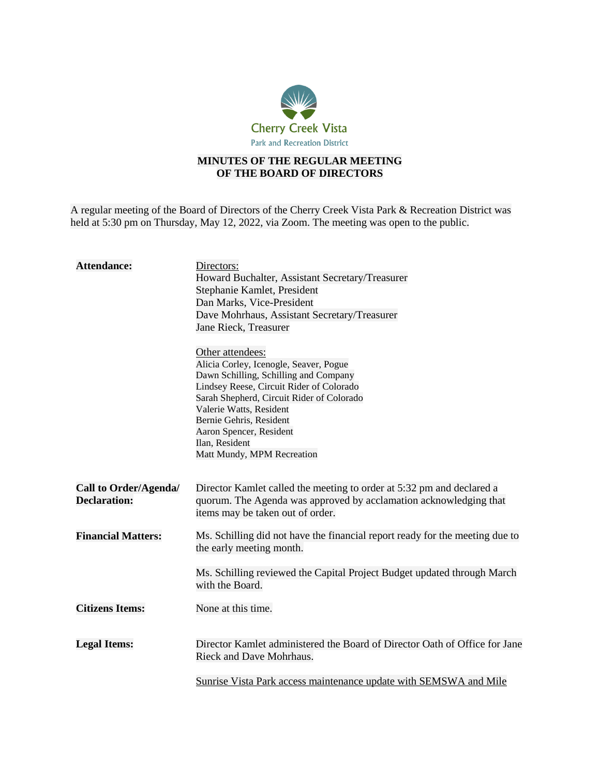

## **MINUTES OF THE REGULAR MEETING OF THE BOARD OF DIRECTORS**

A regular meeting of the Board of Directors of the Cherry Creek Vista Park & Recreation District was held at 5:30 pm on Thursday, May 12, 2022, via Zoom. The meeting was open to the public.

| <b>Attendance:</b>                           | Directors:<br>Howard Buchalter, Assistant Secretary/Treasurer<br>Stephanie Kamlet, President<br>Dan Marks, Vice-President<br>Dave Mohrhaus, Assistant Secretary/Treasurer<br>Jane Rieck, Treasurer<br>Other attendees:<br>Alicia Corley, Icenogle, Seaver, Pogue<br>Dawn Schilling, Schilling and Company<br>Lindsey Reese, Circuit Rider of Colorado<br>Sarah Shepherd, Circuit Rider of Colorado<br>Valerie Watts, Resident<br>Bernie Gehris, Resident<br>Aaron Spencer, Resident<br>Ilan, Resident<br>Matt Mundy, MPM Recreation |
|----------------------------------------------|-------------------------------------------------------------------------------------------------------------------------------------------------------------------------------------------------------------------------------------------------------------------------------------------------------------------------------------------------------------------------------------------------------------------------------------------------------------------------------------------------------------------------------------|
| Call to Order/Agenda/<br><b>Declaration:</b> | Director Kamlet called the meeting to order at 5:32 pm and declared a<br>quorum. The Agenda was approved by acclamation acknowledging that<br>items may be taken out of order.                                                                                                                                                                                                                                                                                                                                                      |
| <b>Financial Matters:</b>                    | Ms. Schilling did not have the financial report ready for the meeting due to<br>the early meeting month.<br>Ms. Schilling reviewed the Capital Project Budget updated through March<br>with the Board.                                                                                                                                                                                                                                                                                                                              |
| <b>Citizens Items:</b>                       | None at this time.                                                                                                                                                                                                                                                                                                                                                                                                                                                                                                                  |
| <b>Legal Items:</b>                          | Director Kamlet administered the Board of Director Oath of Office for Jane<br>Rieck and Dave Mohrhaus.<br>Sunrise Vista Park access maintenance update with SEMSWA and Mile                                                                                                                                                                                                                                                                                                                                                         |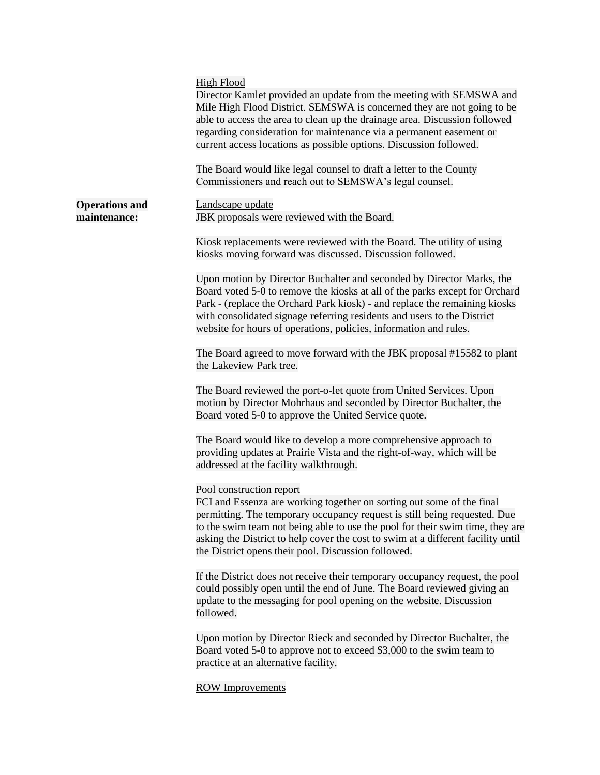|                                       | <b>High Flood</b><br>Director Kamlet provided an update from the meeting with SEMSWA and<br>Mile High Flood District. SEMSWA is concerned they are not going to be<br>able to access the area to clean up the drainage area. Discussion followed<br>regarding consideration for maintenance via a permanent easement or<br>current access locations as possible options. Discussion followed.<br>The Board would like legal counsel to draft a letter to the County |
|---------------------------------------|---------------------------------------------------------------------------------------------------------------------------------------------------------------------------------------------------------------------------------------------------------------------------------------------------------------------------------------------------------------------------------------------------------------------------------------------------------------------|
|                                       | Commissioners and reach out to SEMSWA's legal counsel.                                                                                                                                                                                                                                                                                                                                                                                                              |
| <b>Operations and</b><br>maintenance: | Landscape update<br>JBK proposals were reviewed with the Board.                                                                                                                                                                                                                                                                                                                                                                                                     |
|                                       | Kiosk replacements were reviewed with the Board. The utility of using<br>kiosks moving forward was discussed. Discussion followed.                                                                                                                                                                                                                                                                                                                                  |
|                                       | Upon motion by Director Buchalter and seconded by Director Marks, the<br>Board voted 5-0 to remove the kiosks at all of the parks except for Orchard<br>Park - (replace the Orchard Park kiosk) - and replace the remaining kiosks<br>with consolidated signage referring residents and users to the District<br>website for hours of operations, policies, information and rules.                                                                                  |
|                                       | The Board agreed to move forward with the JBK proposal #15582 to plant<br>the Lakeview Park tree.                                                                                                                                                                                                                                                                                                                                                                   |
|                                       | The Board reviewed the port-o-let quote from United Services. Upon<br>motion by Director Mohrhaus and seconded by Director Buchalter, the<br>Board voted 5-0 to approve the United Service quote.                                                                                                                                                                                                                                                                   |
|                                       | The Board would like to develop a more comprehensive approach to<br>providing updates at Prairie Vista and the right-of-way, which will be<br>addressed at the facility walkthrough.                                                                                                                                                                                                                                                                                |
|                                       | Pool construction report<br>FCI and Essenza are working together on sorting out some of the final<br>permitting. The temporary occupancy request is still being requested. Due<br>to the swim team not being able to use the pool for their swim time, they are<br>asking the District to help cover the cost to swim at a different facility until<br>the District opens their pool. Discussion followed.                                                          |
|                                       | If the District does not receive their temporary occupancy request, the pool<br>could possibly open until the end of June. The Board reviewed giving an<br>update to the messaging for pool opening on the website. Discussion<br>followed.                                                                                                                                                                                                                         |
|                                       | Upon motion by Director Rieck and seconded by Director Buchalter, the<br>Board voted 5-0 to approve not to exceed \$3,000 to the swim team to<br>practice at an alternative facility.                                                                                                                                                                                                                                                                               |
|                                       | <b>ROW Improvements</b>                                                                                                                                                                                                                                                                                                                                                                                                                                             |